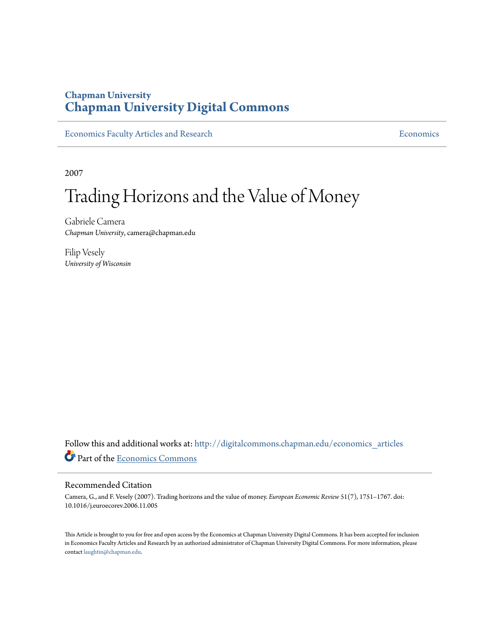### **Chapman University [Chapman University Digital Commons](http://digitalcommons.chapman.edu?utm_source=digitalcommons.chapman.edu%2Feconomics_articles%2F82&utm_medium=PDF&utm_campaign=PDFCoverPages)**

[Economics Faculty Articles and Research](http://digitalcommons.chapman.edu/economics_articles?utm_source=digitalcommons.chapman.edu%2Feconomics_articles%2F82&utm_medium=PDF&utm_campaign=PDFCoverPages) **[Economics](http://digitalcommons.chapman.edu/economics?utm_source=digitalcommons.chapman.edu%2Feconomics_articles%2F82&utm_medium=PDF&utm_campaign=PDFCoverPages)** Economics

2007

# Trading Horizons and the Value of Money

Gabriele Camera *Chapman University*, camera@chapman.edu

Filip Vesely *University of Wisconsin*

Follow this and additional works at: [http://digitalcommons.chapman.edu/economics\\_articles](http://digitalcommons.chapman.edu/economics_articles?utm_source=digitalcommons.chapman.edu%2Feconomics_articles%2F82&utm_medium=PDF&utm_campaign=PDFCoverPages) Part of the [Economics Commons](http://network.bepress.com/hgg/discipline/340?utm_source=digitalcommons.chapman.edu%2Feconomics_articles%2F82&utm_medium=PDF&utm_campaign=PDFCoverPages)

#### Recommended Citation

Camera, G., and F. Vesely (2007). Trading horizons and the value of money. *European Economic Review* 51(7), 1751–1767. doi: 10.1016/j.euroecorev.2006.11.005

This Article is brought to you for free and open access by the Economics at Chapman University Digital Commons. It has been accepted for inclusion in Economics Faculty Articles and Research by an authorized administrator of Chapman University Digital Commons. For more information, please contact [laughtin@chapman.edu](mailto:laughtin@chapman.edu).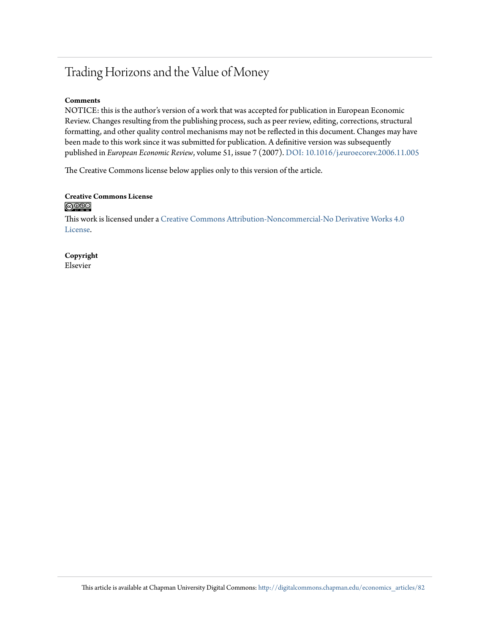# Trading Horizons and the Value of Money

#### **Comments**

NOTICE: this is the author's version of a work that was accepted for publication in European Economic Review. Changes resulting from the publishing process, such as peer review, editing, corrections, structural formatting, and other quality control mechanisms may not be reflected in this document. Changes may have been made to this work since it was submitted for publication. A definitive version was subsequently published in *European Economic Review*, volume 51, issue 7 (2007). [DOI: 10.1016/j.euroecorev.2006.11.005](http://dx.doi.org/10.1016/j.euroecorev.2006.11.005)

The Creative Commons license below applies only to this version of the article.

#### **Creative Commons License**  $\bigcirc$   $\circ$

This work is licensed under a [Creative Commons Attribution-Noncommercial-No Derivative Works 4.0](http://creativecommons.org/licenses/by-nc-nd/4.0/) [License.](http://creativecommons.org/licenses/by-nc-nd/4.0/)

**Copyright** Elsevier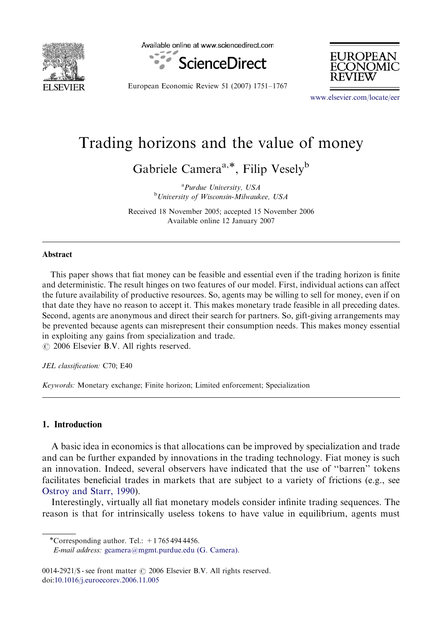

Available online at www.sciencedirect.com





European Economic Review 51 (2007) 1751–1767

<www.elsevier.com/locate/eer>

## Trading horizons and the value of money

Gabriele Camera<sup>a,\*</sup>, Filip Vesely<sup>b</sup>

<sup>a</sup>Purdue University, USA b University of Wisconsin-Milwaukee, USA

Received 18 November 2005; accepted 15 November 2006 Available online 12 January 2007

#### **Abstract**

This paper shows that fiat money can be feasible and essential even if the trading horizon is finite and deterministic. The result hinges on two features of our model. First, individual actions can affect the future availability of productive resources. So, agents may be willing to sell for money, even if on that date they have no reason to accept it. This makes monetary trade feasible in all preceding dates. Second, agents are anonymous and direct their search for partners. So, gift-giving arrangements may be prevented because agents can misrepresent their consumption needs. This makes money essential in exploiting any gains from specialization and trade.

 $\odot$  2006 Elsevier B.V. All rights reserved.

JEL classification: C70; E40

Keywords: Monetary exchange; Finite horizon; Limited enforcement; Specialization

#### 1. Introduction

A basic idea in economics is that allocations can be improved by specialization and trade and can be further expanded by innovations in the trading technology. Fiat money is such an innovation. Indeed, several observers have indicated that the use of ''barren'' tokens facilitates beneficial trades in markets that are subject to a variety of frictions (e.g., see [Ostroy and Starr, 1990\)](#page-18-0).

Interestingly, virtually all fiat monetary models consider infinite trading sequences. The reason is that for intrinsically useless tokens to have value in equilibrium, agents must

<sup>\*</sup>Corresponding author. Tel.:  $+17654944456$ .

E-mail address: [gcamera@mgmt.purdue.edu \(G. Camera\).](mailto:gcamera@mgmt.purdue.edu)

<sup>0014-2921/\$ -</sup> see front matter  $\odot$  2006 Elsevier B.V. All rights reserved. doi[:10.1016/j.euroecorev.2006.11.005](dx.doi.org/10.1016/j.euroecorev.2006.11.005)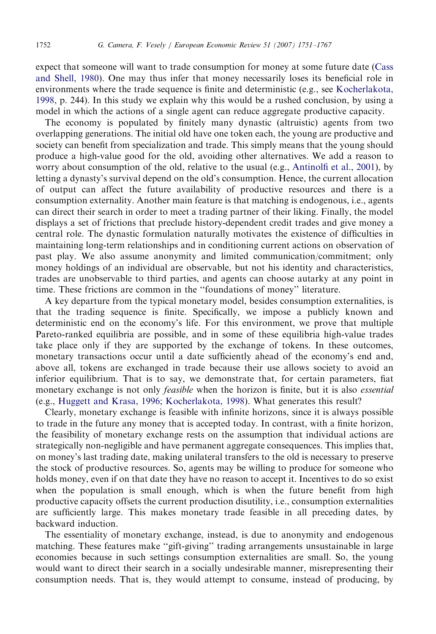expect that someone will want to trade consumption for money at some future date ([Cass](#page-18-0) [and Shell, 1980](#page-18-0)). One may thus infer that money necessarily loses its beneficial role in environments where the trade sequence is finite and deterministic (e.g., see [Kocherlakota,](#page-18-0) [1998](#page-18-0), p. 244). In this study we explain why this would be a rushed conclusion, by using a model in which the actions of a single agent can reduce aggregate productive capacity.

The economy is populated by finitely many dynastic (altruistic) agents from two overlapping generations. The initial old have one token each, the young are productive and society can benefit from specialization and trade. This simply means that the young should produce a high-value good for the old, avoiding other alternatives. We add a reason to worry about consumption of the old, relative to the usual (e.g., [Antinolfi et al., 2001\)](#page-18-0), by letting a dynasty's survival depend on the old's consumption. Hence, the current allocation of output can affect the future availability of productive resources and there is a consumption externality. Another main feature is that matching is endogenous, i.e., agents can direct their search in order to meet a trading partner of their liking. Finally, the model displays a set of frictions that preclude history-dependent credit trades and give money a central role. The dynastic formulation naturally motivates the existence of difficulties in maintaining long-term relationships and in conditioning current actions on observation of past play. We also assume anonymity and limited communication/commitment; only money holdings of an individual are observable, but not his identity and characteristics, trades are unobservable to third parties, and agents can choose autarky at any point in time. These frictions are common in the ''foundations of money'' literature.

A key departure from the typical monetary model, besides consumption externalities, is that the trading sequence is finite. Specifically, we impose a publicly known and deterministic end on the economy's life. For this environment, we prove that multiple Pareto-ranked equilibria are possible, and in some of these equilibria high-value trades take place only if they are supported by the exchange of tokens. In these outcomes, monetary transactions occur until a date sufficiently ahead of the economy's end and, above all, tokens are exchanged in trade because their use allows society to avoid an inferior equilibrium. That is to say, we demonstrate that, for certain parameters, fiat monetary exchange is not only *feasible* when the horizon is finite, but it is also *essential* (e.g., [Huggett and Krasa, 1996; Kocherlakota, 1998\)](#page-18-0). What generates this result?

Clearly, monetary exchange is feasible with infinite horizons, since it is always possible to trade in the future any money that is accepted today. In contrast, with a finite horizon, the feasibility of monetary exchange rests on the assumption that individual actions are strategically non-negligible and have permanent aggregate consequences. This implies that, on money's last trading date, making unilateral transfers to the old is necessary to preserve the stock of productive resources. So, agents may be willing to produce for someone who holds money, even if on that date they have no reason to accept it. Incentives to do so exist when the population is small enough, which is when the future benefit from high productive capacity offsets the current production disutility, i.e., consumption externalities are sufficiently large. This makes monetary trade feasible in all preceding dates, by backward induction.

The essentiality of monetary exchange, instead, is due to anonymity and endogenous matching. These features make ''gift-giving'' trading arrangements unsustainable in large economies because in such settings consumption externalities are small. So, the young would want to direct their search in a socially undesirable manner, misrepresenting their consumption needs. That is, they would attempt to consume, instead of producing, by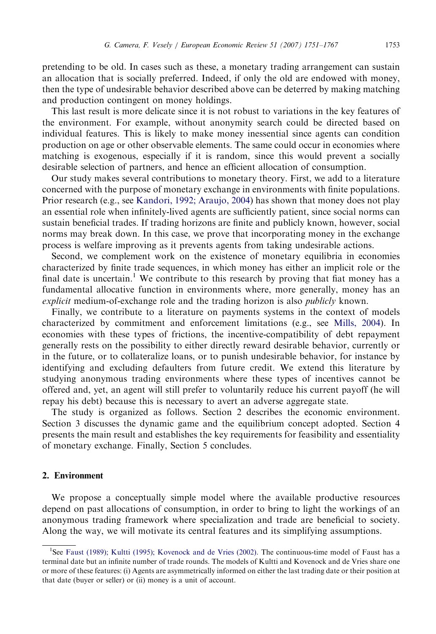pretending to be old. In cases such as these, a monetary trading arrangement can sustain an allocation that is socially preferred. Indeed, if only the old are endowed with money, then the type of undesirable behavior described above can be deterred by making matching and production contingent on money holdings.

This last result is more delicate since it is not robust to variations in the key features of the environment. For example, without anonymity search could be directed based on individual features. This is likely to make money inessential since agents can condition production on age or other observable elements. The same could occur in economies where matching is exogenous, especially if it is random, since this would prevent a socially desirable selection of partners, and hence an efficient allocation of consumption.

Our study makes several contributions to monetary theory. First, we add to a literature concerned with the purpose of monetary exchange in environments with finite populations. Prior research (e.g., see [Kandori, 1992; Araujo, 2004](#page-18-0)) has shown that money does not play an essential role when infinitely-lived agents are sufficiently patient, since social norms can sustain beneficial trades. If trading horizons are finite and publicly known, however, social norms may break down. In this case, we prove that incorporating money in the exchange process is welfare improving as it prevents agents from taking undesirable actions.

Second, we complement work on the existence of monetary equilibria in economies characterized by finite trade sequences, in which money has either an implicit role or the final date is uncertain.<sup>1</sup> We contribute to this research by proving that fiat money has a fundamental allocative function in environments where, more generally, money has an explicit medium-of-exchange role and the trading horizon is also *publicly* known.

Finally, we contribute to a literature on payments systems in the context of models characterized by commitment and enforcement limitations (e.g., see [Mills, 2004](#page-18-0)). In economies with these types of frictions, the incentive-compatibility of debt repayment generally rests on the possibility to either directly reward desirable behavior, currently or in the future, or to collateralize loans, or to punish undesirable behavior, for instance by identifying and excluding defaulters from future credit. We extend this literature by studying anonymous trading environments where these types of incentives cannot be offered and, yet, an agent will still prefer to voluntarily reduce his current payoff (he will repay his debt) because this is necessary to avert an adverse aggregate state.

The study is organized as follows. Section 2 describes the economic environment. Section 3 discusses the dynamic game and the equilibrium concept adopted. Section 4 presents the main result and establishes the key requirements for feasibility and essentiality of monetary exchange. Finally, Section 5 concludes.

#### 2. Environment

We propose a conceptually simple model where the available productive resources depend on past allocations of consumption, in order to bring to light the workings of an anonymous trading framework where specialization and trade are beneficial to society. Along the way, we will motivate its central features and its simplifying assumptions.

<sup>&</sup>lt;sup>1</sup>See [Faust \(1989\); Kultti \(1995\); Kovenock and de Vries \(2002\)](#page-18-0). The continuous-time model of Faust has a terminal date but an infinite number of trade rounds. The models of Kultti and Kovenock and de Vries share one or more of these features: (i) Agents are asymmetrically informed on either the last trading date or their position at that date (buyer or seller) or (ii) money is a unit of account.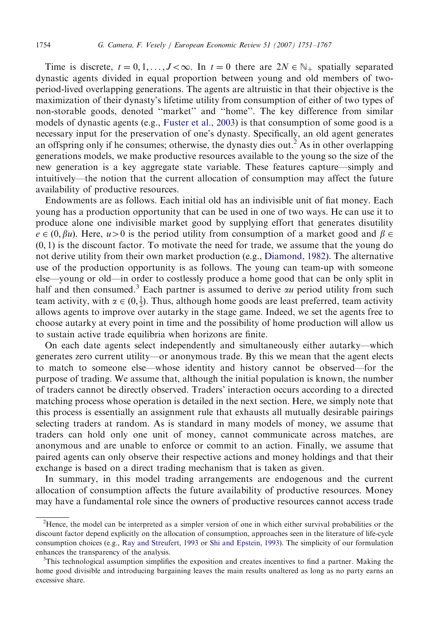Time is discrete,  $t = 0, 1, \ldots, J < \infty$ . In  $t = 0$  there are  $2N \in \mathbb{N}_+$  spatially separated dynastic agents divided in equal proportion between young and old members of twoperiod-lived overlapping generations. The agents are altruistic in that their objective is the maximization of their dynasty's lifetime utility from consumption of either of two types of non-storable goods, denoted ''market'' and ''home''. The key difference from similar models of dynastic agents (e.g., [Fuster et al., 2003](#page-18-0)) is that consumption of some good is a necessary input for the preservation of one's dynasty. Specifically, an old agent generates an offspring only if he consumes; otherwise, the dynasty dies out.<sup>2</sup> As in other overlapping generations models, we make productive resources available to the young so the size of the new generation is a key aggregate state variable. These features capture—simply and intuitively—the notion that the current allocation of consumption may affect the future availability of productive resources.

Endowments are as follows. Each initial old has an indivisible unit of fiat money. Each young has a production opportunity that can be used in one of two ways. He can use it to produce alone one indivisible market good by supplying effort that generates disutility  $e \in (0, \beta u)$ . Here,  $u > 0$  is the period utility from consumption of a market good and  $\beta \in$  $(0, 1)$  is the discount factor. To motivate the need for trade, we assume that the young do not derive utility from their own market production (e.g., [Diamond, 1982\)](#page-18-0). The alternative use of the production opportunity is as follows. The young can team-up with someone else—young or old—in order to costlessly produce a home good that can be only split in half and then consumed.<sup>3</sup> Each partner is assumed to derive  $\alpha u$  period utility from such team activity, with  $\alpha \in (0, \frac{1}{2})$ . Thus, although home goods are least preferred, team activity allows agents to improve over autarky in the stage game. Indeed, we set the agents free to choose autarky at every point in time and the possibility of home production will allow us to sustain active trade equilibria when horizons are finite.

On each date agents select independently and simultaneously either autarky—which generates zero current utility—or anonymous trade. By this we mean that the agent elects to match to someone else—whose identity and history cannot be observed—for the purpose of trading. We assume that, although the initial population is known, the number of traders cannot be directly observed. Traders' interaction occurs according to a directed matching process whose operation is detailed in the next section. Here, we simply note that this process is essentially an assignment rule that exhausts all mutually desirable pairings selecting traders at random. As is standard in many models of money, we assume that traders can hold only one unit of money, cannot communicate across matches, are anonymous and are unable to enforce or commit to an action. Finally, we assume that paired agents can only observe their respective actions and money holdings and that their exchange is based on a direct trading mechanism that is taken as given.

In summary, in this model trading arrangements are endogenous and the current allocation of consumption affects the future availability of productive resources. Money may have a fundamental role since the owners of productive resources cannot access trade

<sup>&</sup>lt;sup>2</sup>Hence, the model can be interpreted as a simpler version of one in which either survival probabilities or the discount factor depend explicitly on the allocation of consumption, approaches seen in the literature of life-cycle consumption choices (e.g., [Ray and Streufert, 1993](#page-18-0) or [Shi and Epstein, 1993\)](#page-18-0). The simplicity of our formulation enhances the transparency of the analysis. <sup>3</sup>

 $<sup>3</sup>$ This technological assumption simplifies the exposition and creates incentives to find a partner. Making the</sup> home good divisible and introducing bargaining leaves the main results unaltered as long as no party earns an excessive share.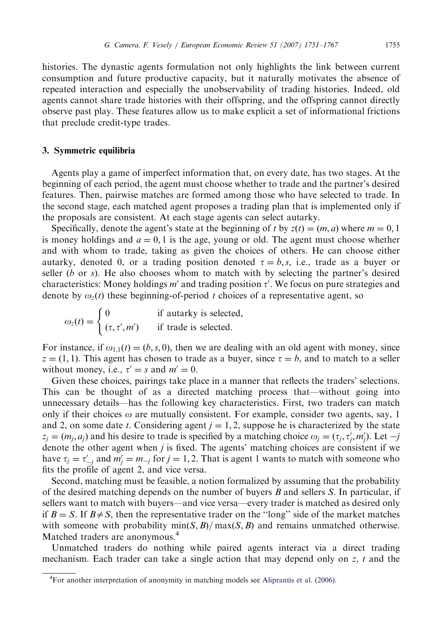histories. The dynastic agents formulation not only highlights the link between current consumption and future productive capacity, but it naturally motivates the absence of repeated interaction and especially the unobservability of trading histories. Indeed, old agents cannot share trade histories with their offspring, and the offspring cannot directly observe past play. These features allow us to make explicit a set of informational frictions that preclude credit-type trades.

#### 3. Symmetric equilibria

Agents play a game of imperfect information that, on every date, has two stages. At the beginning of each period, the agent must choose whether to trade and the partner's desired features. Then, pairwise matches are formed among those who have selected to trade. In the second stage, each matched agent proposes a trading plan that is implemented only if the proposals are consistent. At each stage agents can select autarky.

Specifically, denote the agent's state at the beginning of t by  $z(t) = (m, a)$  where  $m = 0, 1$ is money holdings and  $a = 0, 1$  is the age, young or old. The agent must choose whether and with whom to trade, taking as given the choices of others. He can choose either autarky, denoted 0, or a trading position denoted  $\tau = b$ , s, i.e., trade as a buyer or seller ( $b$  or  $s$ ). He also chooses whom to match with by selecting the partner's desired characteristics: Money holdings  $m'$  and trading position  $\tau'$ . We focus on pure strategies and denote by  $\omega_z(t)$  these beginning-of-period t choices of a representative agent, so

$$
\omega_z(t) = \begin{cases} 0 & \text{if autarky is selected,} \\ (\tau, \tau', m') & \text{if trade is selected.} \end{cases}
$$

For instance, if  $\omega_{1,1}(t) = (b, s, 0)$ , then we are dealing with an old agent with money, since  $z = (1, 1)$ . This agent has chosen to trade as a buyer, since  $\tau = b$ , and to match to a seller without money, i.e.,  $\tau' = s$  and  $m' = 0$ .

Given these choices, pairings take place in a manner that reflects the traders' selections. This can be thought of as a directed matching process that—without going into unnecessary details—has the following key characteristics. First, two traders can match only if their choices  $\omega$  are mutually consistent. For example, consider two agents, say, 1 and 2, on some date t. Considering agent  $j = 1, 2$ , suppose he is characterized by the state  $z_j = (m_j, a_j)$  and his desire to trade is specified by a matching choice  $\omega_j = (\tau_j, \tau'_j, m'_j)$ . Let  $-j$ denote the other agent when  $j$  is fixed. The agents' matching choices are consistent if we have  $\tau_j = \tau'_{-j}$  and  $m'_j = m_{-j}$  for  $j = 1, 2$ . That is agent 1 wants to match with someone who fits the profile of agent 2, and vice versa.

Second, matching must be feasible, a notion formalized by assuming that the probability of the desired matching depends on the number of buyers B and sellers S. In particular, if sellers want to match with buyers—and vice versa—every trader is matched as desired only if  $B = S$ . If  $B \neq S$ , then the representative trader on the "long" side of the market matches with someone with probability  $\min(S, B)/\max(S, B)$  and remains unmatched otherwise. Matched traders are anonymous.<sup>4</sup>

Unmatched traders do nothing while paired agents interact via a direct trading mechanism. Each trader can take a single action that may depend only on  $z$ ,  $t$  and the

<sup>&</sup>lt;sup>4</sup>For another interpretation of anonymity in matching models see [Aliprantis et al. \(2006\)](#page-18-0).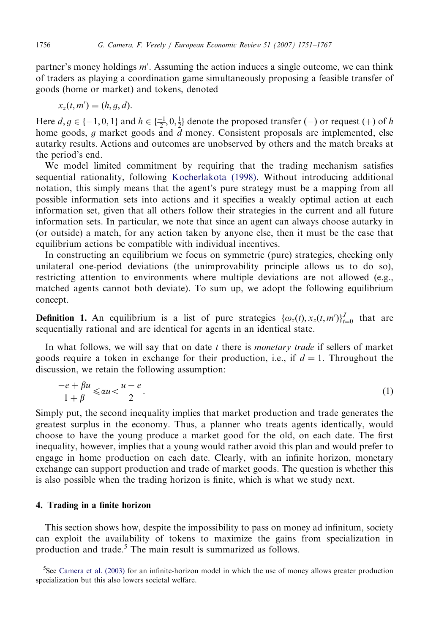partner's money holdings  $m'$ . Assuming the action induces a single outcome, we can think of traders as playing a coordination game simultaneously proposing a feasible transfer of goods (home or market) and tokens, denoted

$$
x_z(t,m') = (h,g,d).
$$

Here  $d, g \in \{-1, 0, 1\}$  and  $h \in \{\frac{-1}{2}, 0, \frac{1}{2}\}$  denote the proposed transfer  $(-)$  or request  $(+)$  of h home goods, q market goods and  $\bar{d}$  money. Consistent proposals are implemented, else autarky results. Actions and outcomes are unobserved by others and the match breaks at the period's end.

We model limited commitment by requiring that the trading mechanism satisfies sequential rationality, following [Kocherlakota \(1998\)](#page-18-0). Without introducing additional notation, this simply means that the agent's pure strategy must be a mapping from all possible information sets into actions and it specifies a weakly optimal action at each information set, given that all others follow their strategies in the current and all future information sets. In particular, we note that since an agent can always choose autarky in (or outside) a match, for any action taken by anyone else, then it must be the case that equilibrium actions be compatible with individual incentives.

In constructing an equilibrium we focus on symmetric (pure) strategies, checking only unilateral one-period deviations (the unimprovability principle allows us to do so), restricting attention to environments where multiple deviations are not allowed (e.g., matched agents cannot both deviate). To sum up, we adopt the following equilibrium concept.

**Definition 1.** An equilibrium is a list of pure strategies  $\{\omega_z(t), x_z(t, m')\}_{t=0}^J$  that are sequentially rational and are identical for agents in an identical state.

In what follows, we will say that on date  $t$  there is *monetary trade* if sellers of market goods require a token in exchange for their production, i.e., if  $d = 1$ . Throughout the discussion, we retain the following assumption:

$$
\frac{-e + \beta u}{1 + \beta} \le \alpha u < \frac{u - e}{2}.\tag{1}
$$

Simply put, the second inequality implies that market production and trade generates the greatest surplus in the economy. Thus, a planner who treats agents identically, would choose to have the young produce a market good for the old, on each date. The first inequality, however, implies that a young would rather avoid this plan and would prefer to engage in home production on each date. Clearly, with an infinite horizon, monetary exchange can support production and trade of market goods. The question is whether this is also possible when the trading horizon is finite, which is what we study next.

#### 4. Trading in a finite horizon

This section shows how, despite the impossibility to pass on money ad infinitum, society can exploit the availability of tokens to maximize the gains from specialization in production and trade.<sup>5</sup> The main result is summarized as follows.

<sup>5</sup> See [Camera et al. \(2003\)](#page-18-0) for an infinite-horizon model in which the use of money allows greater production specialization but this also lowers societal welfare.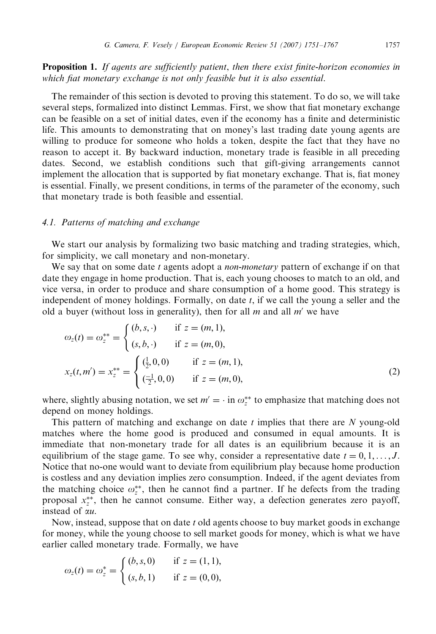Proposition 1. If agents are sufficiently patient, then there exist finite-horizon economies in which fiat monetary exchange is not only feasible but it is also essential.

The remainder of this section is devoted to proving this statement. To do so, we will take several steps, formalized into distinct Lemmas. First, we show that fiat monetary exchange can be feasible on a set of initial dates, even if the economy has a finite and deterministic life. This amounts to demonstrating that on money's last trading date young agents are willing to produce for someone who holds a token, despite the fact that they have no reason to accept it. By backward induction, monetary trade is feasible in all preceding dates. Second, we establish conditions such that gift-giving arrangements cannot implement the allocation that is supported by fiat monetary exchange. That is, fiat money is essential. Finally, we present conditions, in terms of the parameter of the economy, such that monetary trade is both feasible and essential.

#### 4.1. Patterns of matching and exchange

We start our analysis by formalizing two basic matching and trading strategies, which, for simplicity, we call monetary and non-monetary.

We say that on some date t agents adopt a *non-monetary* pattern of exchange if on that date they engage in home production. That is, each young chooses to match to an old, and vice versa, in order to produce and share consumption of a home good. This strategy is independent of money holdings. Formally, on date  $t$ , if we call the young a seller and the old a buyer (without loss in generality), then for all  $m$  and all  $m'$  we have

$$
\omega_z(t) = \omega_z^{**} = \begin{cases}\n(b, s, \cdot) & \text{if } z = (m, 1), \\
(s, b, \cdot) & \text{if } z = (m, 0),\n\end{cases}
$$
\n
$$
x_z(t, m') = x_z^{**} = \begin{cases}\n(\frac{1}{2}, 0, 0) & \text{if } z = (m, 1), \\
(\frac{-1}{2}, 0, 0) & \text{if } z = (m, 0),\n\end{cases}
$$
\n(2)

where, slightly abusing notation, we set  $m' = \cdot$  in  $\omega_z^{**}$  to emphasize that matching does not depend on money holdings.

This pattern of matching and exchange on date  $t$  implies that there are  $N$  young-old matches where the home good is produced and consumed in equal amounts. It is immediate that non-monetary trade for all dates is an equilibrium because it is an equilibrium of the stage game. To see why, consider a representative date  $t = 0, 1, \ldots, J$ . Notice that no-one would want to deviate from equilibrium play because home production is costless and any deviation implies zero consumption. Indeed, if the agent deviates from the matching choice  $\omega_z^{**}$ , then he cannot find a partner. If he defects from the trading proposal  $x_{z}^{**}$ , then he cannot consume. Either way, a defection generates zero payoff, instead of au.

Now, instead, suppose that on date t old agents choose to buy market goods in exchange for money, while the young choose to sell market goods for money, which is what we have earlier called monetary trade. Formally, we have

$$
\omega_z(t) = \omega_z^* = \begin{cases}\n(b, s, 0) & \text{if } z = (1, 1), \\
(s, b, 1) & \text{if } z = (0, 0),\n\end{cases}
$$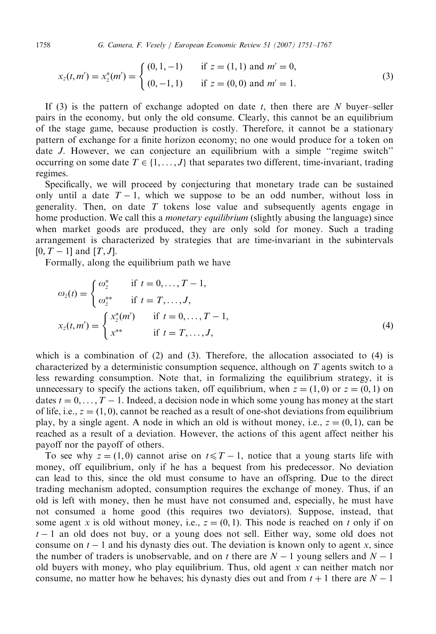1758 G. Camera, F. Vesely / European Economic Review 51 (2007) 1751–1767

$$
x_z(t, m') = x_z^*(m') = \begin{cases} (0, 1, -1) & \text{if } z = (1, 1) \text{ and } m' = 0, \\ (0, -1, 1) & \text{if } z = (0, 0) \text{ and } m' = 1. \end{cases}
$$
(3)

If (3) is the pattern of exchange adopted on date t, then there are N buyer–seller pairs in the economy, but only the old consume. Clearly, this cannot be an equilibrium of the stage game, because production is costly. Therefore, it cannot be a stationary pattern of exchange for a finite horizon economy; no one would produce for a token on date J. However, we can conjecture an equilibrium with a simple ''regime switch'' occurring on some date  $T \in \{1, \ldots, J\}$  that separates two different, time-invariant, trading regimes.

Specifically, we will proceed by conjecturing that monetary trade can be sustained only until a date  $T-1$ , which we suppose to be an odd number, without loss in generality. Then, on date  $T$  tokens lose value and subsequently agents engage in home production. We call this a *monetary equilibrium* (slightly abusing the language) since when market goods are produced, they are only sold for money. Such a trading arrangement is characterized by strategies that are time-invariant in the subintervals  $[0, T-1]$  and  $[T, J]$ .

Formally, along the equilibrium path we have

$$
\omega_z(t) = \begin{cases}\n\omega_z^* & \text{if } t = 0, ..., T - 1, \\
\omega_z^{**} & \text{if } t = T, ..., J, \\
x_z(t, m') = \begin{cases}\nx_z^*(m') & \text{if } t = 0, ..., T - 1, \\
x^{**} & \text{if } t = T, ..., J,\n\end{cases}\n\end{cases}
$$
\n(4)

which is a combination of (2) and (3). Therefore, the allocation associated to (4) is characterized by a deterministic consumption sequence, although on T agents switch to a less rewarding consumption. Note that, in formalizing the equilibrium strategy, it is unnecessary to specify the actions taken, off equilibrium, when  $z = (1, 0)$  or  $z = (0, 1)$  on dates  $t = 0, \ldots, T - 1$ . Indeed, a decision node in which some young has money at the start of life, i.e.,  $z = (1, 0)$ , cannot be reached as a result of one-shot deviations from equilibrium play, by a single agent. A node in which an old is without money, i.e.,  $z = (0, 1)$ , can be reached as a result of a deviation. However, the actions of this agent affect neither his payoff nor the payoff of others.

To see why  $z = (1,0)$  cannot arise on  $t \leq T - 1$ , notice that a young starts life with money, off equilibrium, only if he has a bequest from his predecessor. No deviation can lead to this, since the old must consume to have an offspring. Due to the direct trading mechanism adopted, consumption requires the exchange of money. Thus, if an old is left with money, then he must have not consumed and, especially, he must have not consumed a home good (this requires two deviators). Suppose, instead, that some agent x is old without money, i.e.,  $z = (0, 1)$ . This node is reached on t only if on  $t-1$  an old does not buy, or a young does not sell. Either way, some old does not consume on  $t - 1$  and his dynasty dies out. The deviation is known only to agent x, since the number of traders is unobservable, and on t there are  $N-1$  young sellers and  $N-1$ old buyers with money, who play equilibrium. Thus, old agent  $x$  can neither match nor consume, no matter how he behaves; his dynasty dies out and from  $t + 1$  there are  $N - 1$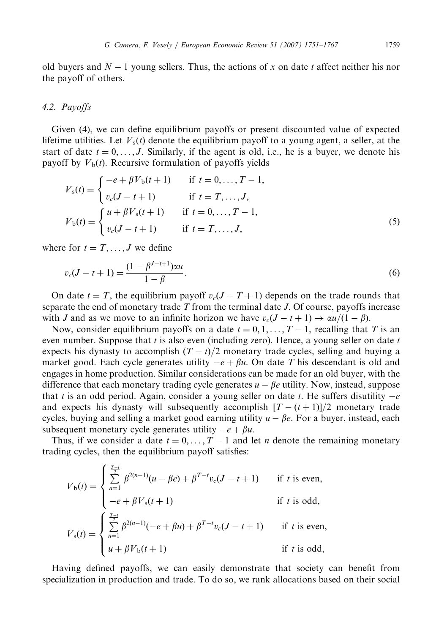old buyers and  $N-1$  young sellers. Thus, the actions of x on date t affect neither his nor the payoff of others.

#### 4.2. Payoffs

Given (4), we can define equilibrium payoffs or present discounted value of expected lifetime utilities. Let  $V_s(t)$  denote the equilibrium payoff to a young agent, a seller, at the start of date  $t = 0, \ldots, J$ . Similarly, if the agent is old, i.e., he is a buyer, we denote his payoff by  $V<sub>b</sub>(t)$ . Recursive formulation of payoffs yields

$$
V_s(t) = \begin{cases} -e + \beta V_b(t+1) & \text{if } t = 0, ..., T-1, \\ v_c(J-t+1) & \text{if } t = T, ..., J, \end{cases}
$$
  

$$
V_b(t) = \begin{cases} u + \beta V_s(t+1) & \text{if } t = 0, ..., T-1, \\ v_c(J-t+1) & \text{if } t = T, ..., J, \end{cases}
$$
 (5)

where for  $t = T, \ldots, J$  we define

$$
v_c(J - t + 1) = \frac{(1 - \beta^{J - t + 1})\alpha u}{1 - \beta}.
$$
\n<sup>(6)</sup>

On date  $t = T$ , the equilibrium payoff  $v_c(J - T + 1)$  depends on the trade rounds that separate the end of monetary trade  $T$  from the terminal date  $J$ . Of course, payoffs increase with *J* and as we move to an infinite horizon we have  $v_c(J - t + 1) \rightarrow \alpha u/(1 - \beta)$ .

Now, consider equilibrium payoffs on a date  $t = 0, 1, \ldots, T - 1$ , recalling that T is an even number. Suppose that  $t$  is also even (including zero). Hence, a young seller on date  $t$ expects his dynasty to accomplish  $(T - t)/2$  monetary trade cycles, selling and buying a market good. Each cycle generates utility  $-e + \beta u$ . On date T his descendant is old and engages in home production. Similar considerations can be made for an old buyer, with the difference that each monetary trading cycle generates  $u - \beta e$  utility. Now, instead, suppose that t is an odd period. Again, consider a young seller on date t. He suffers disutility  $-e$ and expects his dynasty will subsequently accomplish  $[T - (t + 1)]/2$  monetary trade cycles, buying and selling a market good earning utility  $u - \beta e$ . For a buyer, instead, each subsequent monetary cycle generates utility  $-e + \beta u$ .

Thus, if we consider a date  $t = 0, \ldots, T - 1$  and let *n* denote the remaining monetary trading cycles, then the equilibrium payoff satisfies:

$$
V_{b}(t) = \begin{cases} \sum_{n=1}^{T-t} \beta^{2(n-1)}(u - \beta e) + \beta^{T-t}v_{c}(J - t + 1) & \text{if } t \text{ is even,} \\ -e + \beta V_{s}(t + 1) & \text{if } t \text{ is odd,} \end{cases}
$$
  

$$
V_{s}(t) = \begin{cases} \sum_{n=1}^{T-t} \beta^{2(n-1)}(-e + \beta u) + \beta^{T-t}v_{c}(J - t + 1) & \text{if } t \text{ is even,} \\ u + \beta V_{b}(t + 1) & \text{if } t \text{ is odd,} \end{cases}
$$

Having defined payoffs, we can easily demonstrate that society can benefit from specialization in production and trade. To do so, we rank allocations based on their social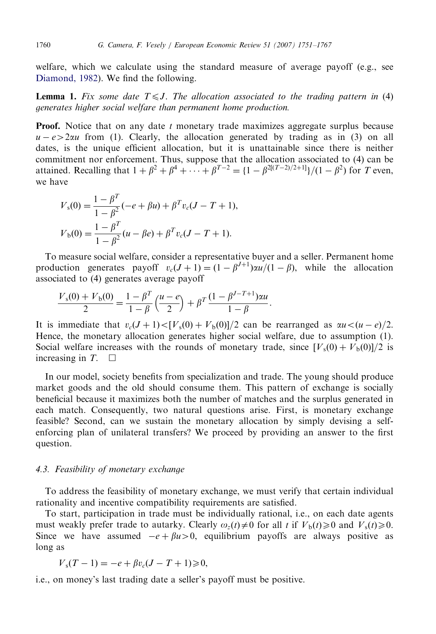welfare, which we calculate using the standard measure of average payoff (e.g., see [Diamond, 1982\)](#page-18-0). We find the following.

**Lemma 1.** Fix some date  $T \le J$ . The allocation associated to the trading pattern in (4) generates higher social welfare than permanent home production.

**Proof.** Notice that on any date  $t$  monetary trade maximizes aggregate surplus because  $u - e > 2\alpha u$  from (1). Clearly, the allocation generated by trading as in (3) on all dates, is the unique efficient allocation, but it is unattainable since there is neither commitment nor enforcement. Thus, suppose that the allocation associated to (4) can be attained. Recalling that  $1 + \beta^2 + \beta^4 + \cdots + \beta^{T-2} = \{1 - \beta^{2[(T-2)/2+1]}\}/(1 - \beta^2)$  for T even, we have

$$
V_s(0) = \frac{1 - \beta^T}{1 - \beta^2} (-e + \beta u) + \beta^T v_c (J - T + 1),
$$
  

$$
V_b(0) = \frac{1 - \beta^T}{1 - \beta^2} (u - \beta e) + \beta^T v_c (J - T + 1).
$$

To measure social welfare, consider a representative buyer and a seller. Permanent home production generates payoff  $v_c(J+1) = (1 - \beta^{J+1})\alpha u/(1 - \beta)$ , while the allocation associated to (4) generates average payoff

$$
\frac{V_s(0) + V_b(0)}{2} = \frac{1 - \beta^T}{1 - \beta} \left(\frac{u - e}{2}\right) + \beta^T \frac{(1 - \beta^{J - T + 1}) \alpha u}{1 - \beta}.
$$

It is immediate that  $v_c(J+1) < [V_s(0) + V_b(0)]/2$  can be rearranged as  $\alpha u < (u-e)/2$ . Hence, the monetary allocation generates higher social welfare, due to assumption (1). Social welfare increases with the rounds of monetary trade, since  $[V_s(0) + V_b(0)]/2$  is increasing in  $T$ .  $\Box$ 

In our model, society benefits from specialization and trade. The young should produce market goods and the old should consume them. This pattern of exchange is socially beneficial because it maximizes both the number of matches and the surplus generated in each match. Consequently, two natural questions arise. First, is monetary exchange feasible? Second, can we sustain the monetary allocation by simply devising a selfenforcing plan of unilateral transfers? We proceed by providing an answer to the first question.

#### 4.3. Feasibility of monetary exchange

To address the feasibility of monetary exchange, we must verify that certain individual rationality and incentive compatibility requirements are satisfied.

To start, participation in trade must be individually rational, i.e., on each date agents must weakly prefer trade to autarky. Clearly  $\omega_z(t) \neq 0$  for all t if  $V_b(t) \geq 0$  and  $V_s(t) \geq 0$ . Since we have assumed  $-e + \beta u > 0$ , equilibrium payoffs are always positive as long as

$$
V_{s}(T-1) = -e + \beta v_{c}(J - T + 1) \geq 0,
$$

i.e., on money's last trading date a seller's payoff must be positive.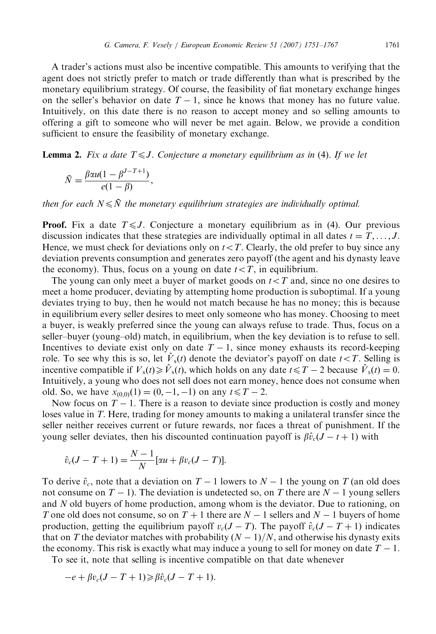A trader's actions must also be incentive compatible. This amounts to verifying that the agent does not strictly prefer to match or trade differently than what is prescribed by the monetary equilibrium strategy. Of course, the feasibility of fiat monetary exchange hinges on the seller's behavior on date  $T-1$ , since he knows that money has no future value. Intuitively, on this date there is no reason to accept money and so selling amounts to offering a gift to someone who will never be met again. Below, we provide a condition sufficient to ensure the feasibility of monetary exchange.

**Lemma 2.** Fix a date  $T \le J$ . Conjecture a monetary equilibrium as in (4). If we let

$$
\bar{N} = \frac{\beta \alpha u (1 - \beta^{J - T + 1})}{e(1 - \beta)},
$$

then for each  $N \leq \bar{N}$  the monetary equilibrium strategies are individually optimal.

**Proof.** Fix a date  $T \le J$ . Conjecture a monetary equilibrium as in (4). Our previous discussion indicates that these strategies are individually optimal in all dates  $t = T, \ldots, J$ . Hence, we must check for deviations only on  $t < T$ . Clearly, the old prefer to buy since any deviation prevents consumption and generates zero payoff (the agent and his dynasty leave the economy). Thus, focus on a young on date  $t < T$ , in equilibrium.

The young can only meet a buyer of market goods on  $t < T$  and, since no one desires to meet a home producer, deviating by attempting home production is suboptimal. If a young deviates trying to buy, then he would not match because he has no money; this is because in equilibrium every seller desires to meet only someone who has money. Choosing to meet a buyer, is weakly preferred since the young can always refuse to trade. Thus, focus on a seller–buyer (young–old) match, in equilibrium, when the key deviation is to refuse to sell. Incentives to deviate exist only on date  $T-1$ , since money exhausts its record-keeping role. To see why this is so, let  $V_s(t)$  denote the deviator's payoff on date  $t < T$ . Selling is incentive compatible if  $V_s(t) \ge \hat{V}_s(t)$ , which holds on any date  $t \le T - 2$  because  $\hat{V}_s(t) = 0$ . Intuitively, a young who does not sell does not earn money, hence does not consume when old. So, we have  $x_{(0,0)}(1) = (0, -1, -1)$  on any  $t \le T - 2$ .

Now focus on  $T - 1$ . There is a reason to deviate since production is costly and money loses value in T. Here, trading for money amounts to making a unilateral transfer since the seller neither receives current or future rewards, nor faces a threat of punishment. If the young seller deviates, then his discounted continuation payoff is  $\beta \hat{v}_c(J - t + 1)$  with

$$
\hat{v}_c(J - T + 1) = \frac{N - 1}{N} [\alpha u + \beta v_c (J - T)].
$$

To derive  $\hat{v}_c$ , note that a deviation on  $T - 1$  lowers to  $N - 1$  the young on T (an old does not consume on  $T-1$ ). The deviation is undetected so, on T there are  $N-1$  young sellers and N old buyers of home production, among whom is the deviator. Due to rationing, on T one old does not consume, so on  $T + 1$  there are  $N - 1$  sellers and  $N - 1$  buyers of home production, getting the equilibrium payoff  $v_c(J - T)$ . The payoff  $\hat{v}_c(J - T + 1)$  indicates that on T the deviator matches with probability  $(N-1)/N$ , and otherwise his dynasty exits the economy. This risk is exactly what may induce a young to sell for money on date  $T - 1$ .

To see it, note that selling is incentive compatible on that date whenever

$$
-e + \beta v_c (J - T + 1) \ge \beta \hat{v}_c (J - T + 1).
$$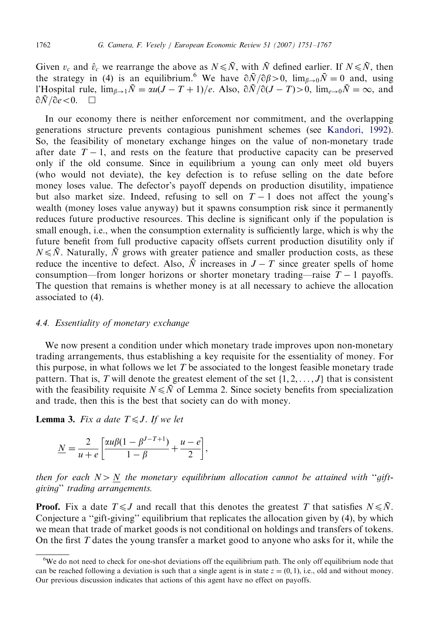Given  $v_c$  and  $\hat{v}_c$  we rearrange the above as  $N \leq N$ , with N defined earlier. If  $N \leq N$ , then the strategy in (4) is an equilibrium.<sup>6</sup> We have  $\partial \bar{N}/\partial \beta > 0$ ,  $\lim_{\beta \to 0} \bar{N} = 0$  and, using l'Hospital rule,  $\lim_{\beta \to 1} \bar{N} = \alpha u (J - T + 1)/e$ . Also,  $\partial \bar{N}/\partial (J - T) > 0$ ,  $\lim_{\epsilon \to 0} \bar{N} = \infty$ , and  $\partial \bar{N}/\partial e$  < 0.  $\Box$ 

In our economy there is neither enforcement nor commitment, and the overlapping generations structure prevents contagious punishment schemes (see [Kandori, 1992](#page-18-0)). So, the feasibility of monetary exchange hinges on the value of non-monetary trade after date  $T-1$ , and rests on the feature that productive capacity can be preserved only if the old consume. Since in equilibrium a young can only meet old buyers (who would not deviate), the key defection is to refuse selling on the date before money loses value. The defector's payoff depends on production disutility, impatience but also market size. Indeed, refusing to sell on  $T-1$  does not affect the young's wealth (money loses value anyway) but it spawns consumption risk since it permanently reduces future productive resources. This decline is significant only if the population is small enough, i.e., when the consumption externality is sufficiently large, which is why the future benefit from full productive capacity offsets current production disutility only if  $N \leq N$ . Naturally,  $\overline{N}$  grows with greater patience and smaller production costs, as these reduce the incentive to defect. Also,  $\overline{N}$  increases in  $J - T$  since greater spells of home consumption—from longer horizons or shorter monetary trading—raise  $T-1$  payoffs. The question that remains is whether money is at all necessary to achieve the allocation associated to (4).

#### 4.4. Essentiality of monetary exchange

We now present a condition under which monetary trade improves upon non-monetary trading arrangements, thus establishing a key requisite for the essentiality of money. For this purpose, in what follows we let  $T$  be associated to the longest feasible monetary trade pattern. That is, T will denote the greatest element of the set  $\{1, 2, \ldots, J\}$  that is consistent with the feasibility requisite  $N \leq N$  of Lemma 2. Since society benefits from specialization and trade, then this is the best that society can do with money.

**Lemma 3.** Fix a date  $T \le J$ . If we let

$$
\underline{N} = \frac{2}{u+e} \left[ \frac{\alpha u \beta (1 - \beta^{J-T+1})}{1 - \beta} + \frac{u-e}{2} \right],
$$

then for each  $N > N$  the monetary equilibrium allocation cannot be attained with "giftgiving'' trading arrangements.

**Proof.** Fix a date  $T \leq J$  and recall that this denotes the greatest T that satisfies  $N \leq N$ . Conjecture a ''gift-giving'' equilibrium that replicates the allocation given by (4), by which we mean that trade of market goods is not conditional on holdings and transfers of tokens. On the first T dates the young transfer a market good to anyone who asks for it, while the

<sup>&</sup>lt;sup>6</sup>We do not need to check for one-shot deviations off the equilibrium path. The only off equilibrium node that can be reached following a deviation is such that a single agent is in state  $z = (0, 1)$ , i.e., old and without money. Our previous discussion indicates that actions of this agent have no effect on payoffs.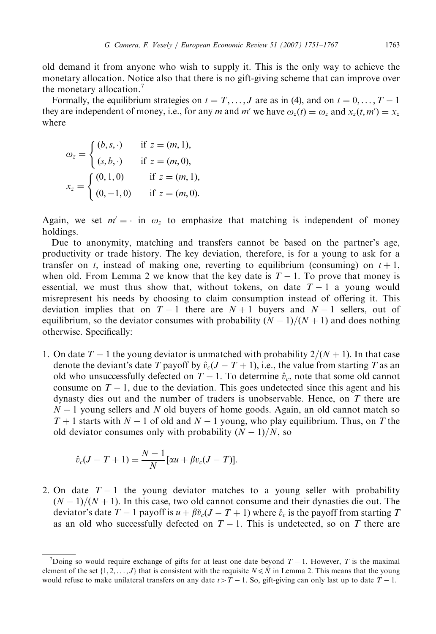old demand it from anyone who wish to supply it. This is the only way to achieve the monetary allocation. Notice also that there is no gift-giving scheme that can improve over the monetary allocation.<sup>7</sup>

Formally, the equilibrium strategies on  $t = T, \ldots, J$  are as in (4), and on  $t = 0, \ldots, T - 1$ they are independent of money, i.e., for any m and m' we have  $\omega_z(t) = \omega_z$  and  $x_z(t, m') = x_z$ where

$$
\omega_z = \begin{cases}\n(b, s, \cdot) & \text{if } z = (m, 1), \\
(s, b, \cdot) & \text{if } z = (m, 0),\n\end{cases}
$$
\n
$$
x_z = \begin{cases}\n(0, 1, 0) & \text{if } z = (m, 1), \\
(0, -1, 0) & \text{if } z = (m, 0).\n\end{cases}
$$

Again, we set  $m' = \cdot$  in  $\omega_z$  to emphasize that matching is independent of money holdings.

Due to anonymity, matching and transfers cannot be based on the partner's age, productivity or trade history. The key deviation, therefore, is for a young to ask for a transfer on t, instead of making one, reverting to equilibrium (consuming) on  $t + 1$ , when old. From Lemma 2 we know that the key date is  $T-1$ . To prove that money is essential, we must thus show that, without tokens, on date  $T-1$  a young would misrepresent his needs by choosing to claim consumption instead of offering it. This deviation implies that on  $T-1$  there are  $N+1$  buyers and  $N-1$  sellers, out of equilibrium, so the deviator consumes with probability  $(N-1)/(N+1)$  and does nothing otherwise. Specifically:

1. On date  $T-1$  the young deviator is unmatched with probability  $2/(N+1)$ . In that case denote the deviant's date T payoff by  $\hat{v}_c(J - T + 1)$ , i.e., the value from starting T as an old who unsuccessfully defected on  $T - 1$ . To determine  $\hat{v}_c$ , note that some old cannot consume on  $T-1$ , due to the deviation. This goes undetected since this agent and his dynasty dies out and the number of traders is unobservable. Hence, on  $T$  there are  $N-1$  young sellers and N old buyers of home goods. Again, an old cannot match so  $T+1$  starts with  $N-1$  of old and  $N-1$  young, who play equilibrium. Thus, on T the old deviator consumes only with probability  $(N-1)/N$ , so

$$
\hat{v}_c(J - T + 1) = \frac{N - 1}{N} [\alpha u + \beta v_c(J - T)].
$$

2. On date  $T-1$  the young deviator matches to a young seller with probability  $(N-1)/(N+1)$ . In this case, two old cannot consume and their dynasties die out. The deviator's date  $T-1$  payoff is  $u + \beta \check{v}_c (J - T + 1)$  where  $\check{v}_c$  is the payoff from starting T as an old who successfully defected on  $T-1$ . This is undetected, so on T there are

<sup>&</sup>lt;sup>7</sup>Doing so would require exchange of gifts for at least one date beyond  $T-1$ . However, T is the maximal element of the set  $\{1, 2, \ldots, J\}$  that is consistent with the requisite  $N \leq N$  in Lemma 2. This means that the young would refuse to make unilateral transfers on any date  $t > T - 1$ . So, gift-giving can only last up to date  $T - 1$ .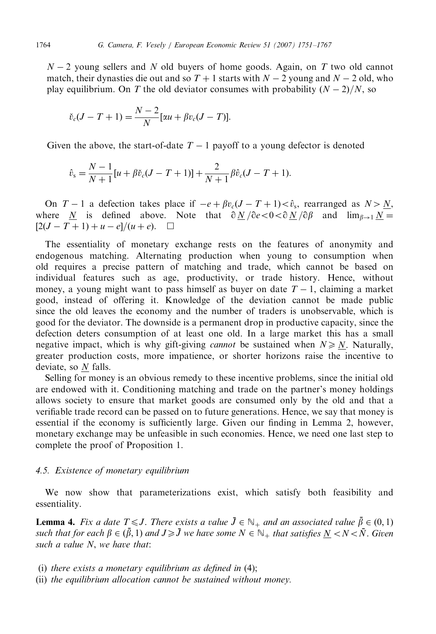$N-2$  young sellers and N old buyers of home goods. Again, on T two old cannot match, their dynasties die out and so  $T + 1$  starts with  $N - 2$  young and  $N - 2$  old, who play equilibrium. On T the old deviator consumes with probability  $(N-2)/N$ , so

$$
\check{v}_c(J - T + 1) = \frac{N - 2}{N} [\alpha u + \beta v_c (J - T)].
$$

Given the above, the start-of-date  $T-1$  payoff to a young defector is denoted

$$
\hat{v}_s = \frac{N-1}{N+1} [u + \beta \check{v}_c (J - T + 1)] + \frac{2}{N+1} \beta \hat{v}_c (J - T + 1).
$$

On  $T-1$  a defection takes place if  $-e + \beta v_c (J - T + 1) < \hat{v}_s$ , rearranged as  $N > N$ , where N is defined above. Note that  $\partial N / \partial e < 0 < \partial N / \partial \beta$  and  $\lim_{\beta \to 1} N =$  $[2(J-T+1)+u-e]/(u+e). \quad \Box$ 

The essentiality of monetary exchange rests on the features of anonymity and endogenous matching. Alternating production when young to consumption when old requires a precise pattern of matching and trade, which cannot be based on individual features such as age, productivity, or trade history. Hence, without money, a young might want to pass himself as buyer on date  $T-1$ , claiming a market good, instead of offering it. Knowledge of the deviation cannot be made public since the old leaves the economy and the number of traders is unobservable, which is good for the deviator. The downside is a permanent drop in productive capacity, since the defection deters consumption of at least one old. In a large market this has a small negative impact, which is why gift-giving *cannot* be sustained when  $N \ge N$ . Naturally, greater production costs, more impatience, or shorter horizons raise the incentive to deviate, so N falls.

Selling for money is an obvious remedy to these incentive problems, since the initial old are endowed with it. Conditioning matching and trade on the partner's money holdings allows society to ensure that market goods are consumed only by the old and that a verifiable trade record can be passed on to future generations. Hence, we say that money is essential if the economy is sufficiently large. Given our finding in Lemma 2, however, monetary exchange may be unfeasible in such economies. Hence, we need one last step to complete the proof of Proposition 1.

#### 4.5. Existence of monetary equilibrium

We now show that parameterizations exist, which satisfy both feasibility and essentiality.

**Lemma 4.** Fix a date  $T \le J$ . There exists a value  $\bar{J} \in \mathbb{N}_+$  and an associated value  $\bar{\beta} \in (0, 1)$ such that for each  $\beta \in (\bar{\beta}, 1)$  and  $J \geq \bar{J}$  we have some  $N \in \mathbb{N}_+$  that satisfies  $N \lt N \lt N$ . Given such a value N, we have that:

- (i) there exists a monetary equilibrium as defined in  $(4)$ ;
- (ii) the equilibrium allocation cannot be sustained without money.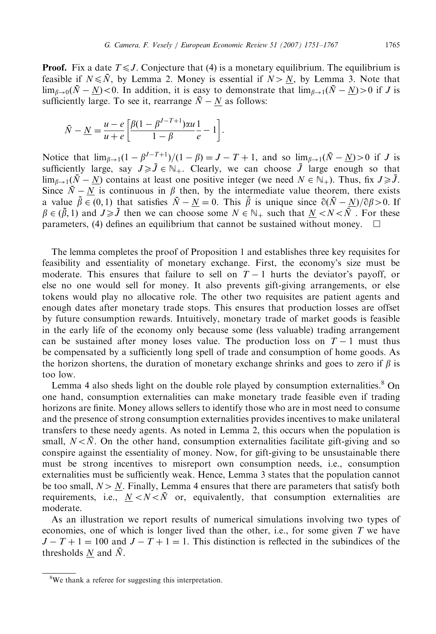**Proof.** Fix a date  $T \le J$ . Conjecture that (4) is a monetary equilibrium. The equilibrium is feasible if  $N \le N$ , by Lemma 2. Money is essential if  $N > N$ , by Lemma 3. Note that  $\lim_{\beta \to 0} (\bar{N} - \underline{N})$  < 0. In addition, it is easy to demonstrate that  $\lim_{\beta \to 1} (\bar{N} - \underline{N}) > 0$  if J is sufficiently large. To see it, rearrange  $\bar{N} - \underline{N}$  as follows:

$$
\bar{N} - \underline{N} = \frac{u - e}{u + e} \left[ \frac{\beta (1 - \beta^{J - T + 1}) \alpha u}{1 - \beta} \frac{1}{e} - 1 \right].
$$

Notice that  $\lim_{\beta \to 1} (1 - \beta^{J-T+1})/(1 - \beta) = J - T + 1$ , and so  $\lim_{\beta \to 1} (\bar{N} - \underline{N}) > 0$  if J is sufficiently large, say  $J \ge \bar{J} \in \mathbb{N}_+$ . Clearly, we can choose  $\bar{J}$  large enough so that  $\lim_{\beta \to 1} (\bar{N} - \underline{N})$  contains at least one positive integer (we need  $N \in \mathbb{N}_+$ ). Thus, fix  $J \ge \bar{J}$ . Since  $\bar{N} - \underline{N}$  is continuous in  $\beta$  then, by the intermediate value theorem, there exists a value  $\bar{\beta} \in (0, 1)$  that satisfies  $\bar{N} - \underline{N} = 0$ . This  $\bar{\beta}$  is unique since  $\partial(\bar{N} - \underline{N})/\partial \beta > 0$ . If  $\beta \in (\bar{\beta}, 1)$  and  $J \ge \bar{J}$  then we can choose some  $N \in \mathbb{N}_+$  such that  $N < N < \bar{N}$ . For these parameters, (4) defines an equilibrium that cannot be sustained without money.  $\Box$ 

The lemma completes the proof of Proposition 1 and establishes three key requisites for feasibility and essentiality of monetary exchange. First, the economy's size must be moderate. This ensures that failure to sell on  $T-1$  hurts the deviator's payoff, or else no one would sell for money. It also prevents gift-giving arrangements, or else tokens would play no allocative role. The other two requisites are patient agents and enough dates after monetary trade stops. This ensures that production losses are offset by future consumption rewards. Intuitively, monetary trade of market goods is feasible in the early life of the economy only because some (less valuable) trading arrangement can be sustained after money loses value. The production loss on  $T-1$  must thus be compensated by a sufficiently long spell of trade and consumption of home goods. As the horizon shortens, the duration of monetary exchange shrinks and goes to zero if  $\beta$  is too low.

Lemma 4 also sheds light on the double role played by consumption externalities.<sup>8</sup> On one hand, consumption externalities can make monetary trade feasible even if trading horizons are finite. Money allows sellers to identify those who are in most need to consume and the presence of strong consumption externalities provides incentives to make unilateral transfers to these needy agents. As noted in Lemma 2, this occurs when the population is small,  $N < \overline{N}$ . On the other hand, consumption externalities facilitate gift-giving and so conspire against the essentiality of money. Now, for gift-giving to be unsustainable there must be strong incentives to misreport own consumption needs, i.e., consumption externalities must be sufficiently weak. Hence, Lemma 3 states that the population cannot be too small,  $N > N$ . Finally, Lemma 4 ensures that there are parameters that satisfy both requirements, i.e.,  $N < N < \bar{N}$  or, equivalently, that consumption externalities are moderate.

As an illustration we report results of numerical simulations involving two types of economies, one of which is longer lived than the other, i.e., for some given  $T$  we have  $J - T + 1 = 100$  and  $J - T + 1 = 1$ . This distinction is reflected in the subindices of the thresholds N and  $\bar{N}$ .

<sup>&</sup>lt;sup>8</sup>We thank a referee for suggesting this interpretation.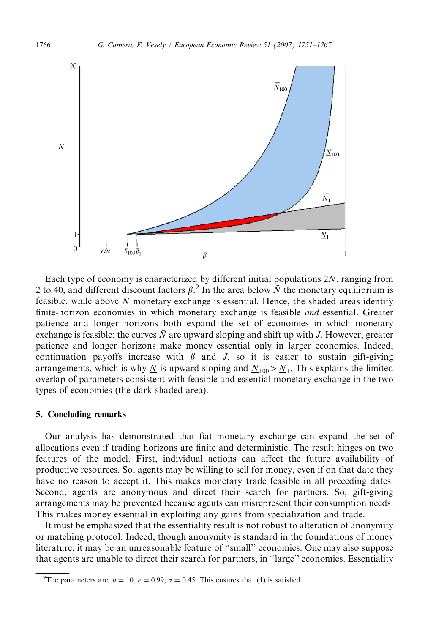

Each type of economy is characterized by different initial populations 2N, ranging from 2 to 40, and different discount factors  $\beta$ . In the area below  $\bar{N}$  the monetary equilibrium is feasible, while above  $\overline{N}$  monetary exchange is essential. Hence, the shaded areas identify finite-horizon economies in which monetary exchange is feasible *and* essential. Greater patience and longer horizons both expand the set of economies in which monetary exchange is feasible; the curves  $\bar{N}$  are upward sloping and shift up with J. However, greater patience and longer horizons make money essential only in larger economies. Indeed, continuation payoffs increase with  $\beta$  and J, so it is easier to sustain gift-giving arrangements, which is why N is upward sloping and  $N_{100} > N_1$ . This explains the limited overlap of parameters consistent with feasible and essential monetary exchange in the two types of economies (the dark shaded area).

#### 5. Concluding remarks

Our analysis has demonstrated that fiat monetary exchange can expand the set of allocations even if trading horizons are finite and deterministic. The result hinges on two features of the model. First, individual actions can affect the future availability of productive resources. So, agents may be willing to sell for money, even if on that date they have no reason to accept it. This makes monetary trade feasible in all preceding dates. Second, agents are anonymous and direct their search for partners. So, gift-giving arrangements may be prevented because agents can misrepresent their consumption needs. This makes money essential in exploiting any gains from specialization and trade.

It must be emphasized that the essentiality result is not robust to alteration of anonymity or matching protocol. Indeed, though anonymity is standard in the foundations of money literature, it may be an unreasonable feature of ''small'' economies. One may also suppose that agents are unable to direct their search for partners, in ''large'' economies. Essentiality

<sup>&</sup>lt;sup>9</sup>The parameters are:  $u = 10$ ,  $e = 0.99$ ,  $\alpha = 0.45$ . This ensures that (1) is satisfied.